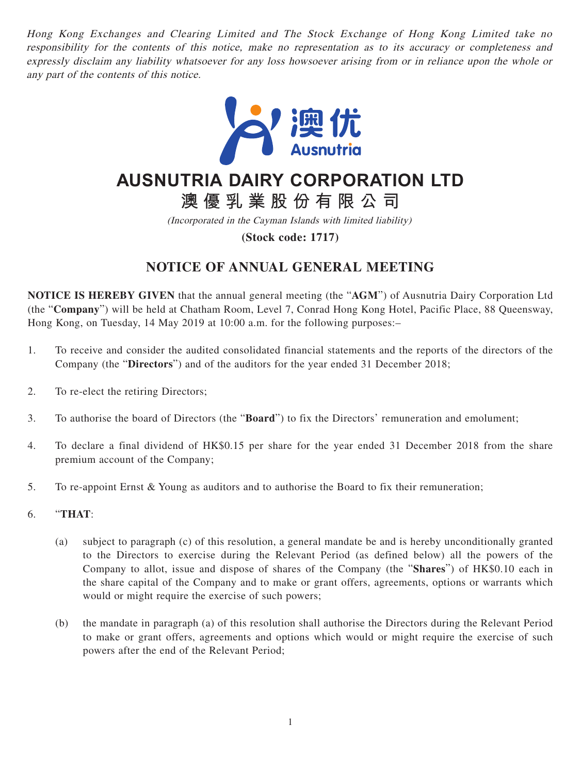Hong Kong Exchanges and Clearing Limited and The Stock Exchange of Hong Kong Limited take no responsibility for the contents of this notice, make no representation as to its accuracy or completeness and expressly disclaim any liability whatsoever for any loss howsoever arising from or in reliance upon the whole or any part of the contents of this notice.



# **AUSNUTRIA DAIRY CORPORATION LTD**

**澳優乳業股份有限公司**

(Incorporated in the Cayman Islands with limited liability)

**(Stock code: 1717)**

## **NOTICE OF ANNUAL GENERAL MEETING**

**NOTICE IS HEREBY GIVEN** that the annual general meeting (the "**AGM**") of Ausnutria Dairy Corporation Ltd (the "**Company**") will be held at Chatham Room, Level 7, Conrad Hong Kong Hotel, Pacific Place, 88 Queensway, Hong Kong, on Tuesday, 14 May 2019 at 10:00 a.m. for the following purposes:–

- 1. To receive and consider the audited consolidated financial statements and the reports of the directors of the Company (the "**Directors**") and of the auditors for the year ended 31 December 2018;
- 2. To re-elect the retiring Directors;
- 3. To authorise the board of Directors (the "**Board**") to fix the Directors' remuneration and emolument;
- 4. To declare a final dividend of HK\$0.15 per share for the year ended 31 December 2018 from the share premium account of the Company;
- 5. To re-appoint Ernst & Young as auditors and to authorise the Board to fix their remuneration;
- 6. "**THAT**:
	- (a) subject to paragraph (c) of this resolution, a general mandate be and is hereby unconditionally granted to the Directors to exercise during the Relevant Period (as defined below) all the powers of the Company to allot, issue and dispose of shares of the Company (the "**Shares**") of HK\$0.10 each in the share capital of the Company and to make or grant offers, agreements, options or warrants which would or might require the exercise of such powers;
	- (b) the mandate in paragraph (a) of this resolution shall authorise the Directors during the Relevant Period to make or grant offers, agreements and options which would or might require the exercise of such powers after the end of the Relevant Period;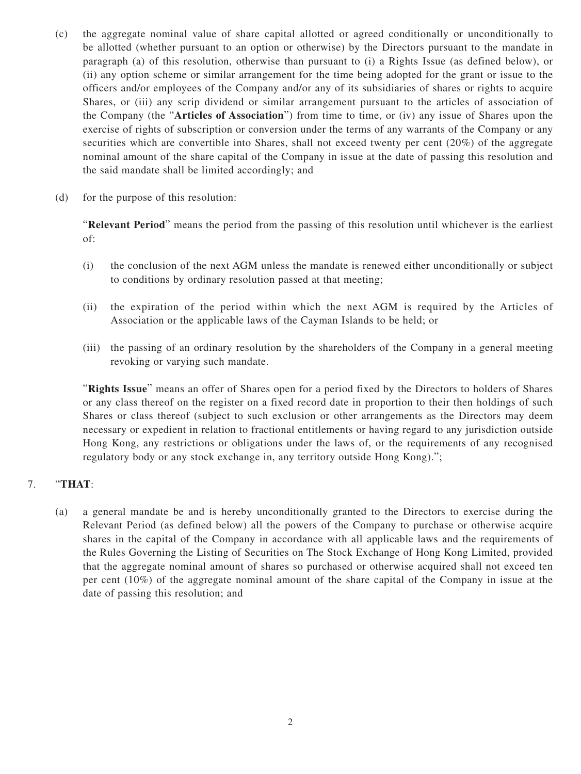- (c) the aggregate nominal value of share capital allotted or agreed conditionally or unconditionally to be allotted (whether pursuant to an option or otherwise) by the Directors pursuant to the mandate in paragraph (a) of this resolution, otherwise than pursuant to (i) a Rights Issue (as defined below), or (ii) any option scheme or similar arrangement for the time being adopted for the grant or issue to the officers and/or employees of the Company and/or any of its subsidiaries of shares or rights to acquire Shares, or (iii) any scrip dividend or similar arrangement pursuant to the articles of association of the Company (the "**Articles of Association**") from time to time, or (iv) any issue of Shares upon the exercise of rights of subscription or conversion under the terms of any warrants of the Company or any securities which are convertible into Shares, shall not exceed twenty per cent (20%) of the aggregate nominal amount of the share capital of the Company in issue at the date of passing this resolution and the said mandate shall be limited accordingly; and
- (d) for the purpose of this resolution:

"**Relevant Period**" means the period from the passing of this resolution until whichever is the earliest of:

- (i) the conclusion of the next AGM unless the mandate is renewed either unconditionally or subject to conditions by ordinary resolution passed at that meeting;
- (ii) the expiration of the period within which the next AGM is required by the Articles of Association or the applicable laws of the Cayman Islands to be held; or
- (iii) the passing of an ordinary resolution by the shareholders of the Company in a general meeting revoking or varying such mandate.

"**Rights Issue**" means an offer of Shares open for a period fixed by the Directors to holders of Shares or any class thereof on the register on a fixed record date in proportion to their then holdings of such Shares or class thereof (subject to such exclusion or other arrangements as the Directors may deem necessary or expedient in relation to fractional entitlements or having regard to any jurisdiction outside Hong Kong, any restrictions or obligations under the laws of, or the requirements of any recognised regulatory body or any stock exchange in, any territory outside Hong Kong).";

#### 7. "**THAT**:

(a) a general mandate be and is hereby unconditionally granted to the Directors to exercise during the Relevant Period (as defined below) all the powers of the Company to purchase or otherwise acquire shares in the capital of the Company in accordance with all applicable laws and the requirements of the Rules Governing the Listing of Securities on The Stock Exchange of Hong Kong Limited, provided that the aggregate nominal amount of shares so purchased or otherwise acquired shall not exceed ten per cent (10%) of the aggregate nominal amount of the share capital of the Company in issue at the date of passing this resolution; and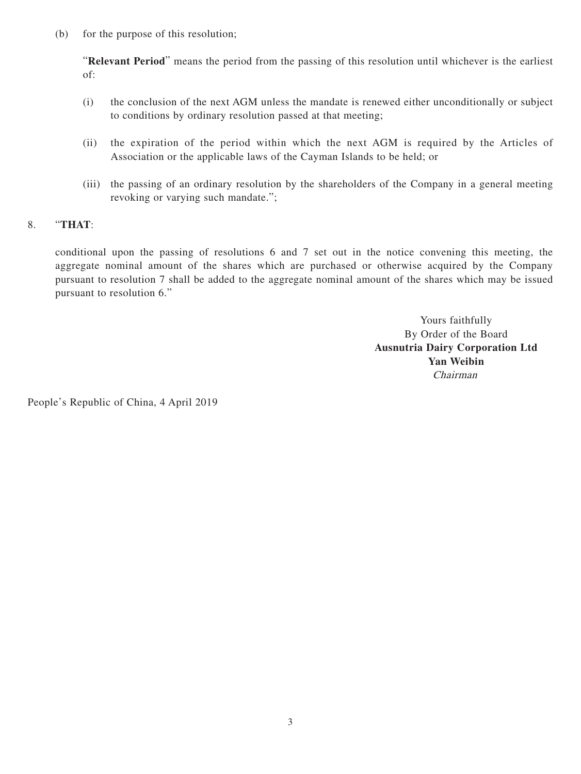(b) for the purpose of this resolution;

"**Relevant Period**" means the period from the passing of this resolution until whichever is the earliest of:

- (i) the conclusion of the next AGM unless the mandate is renewed either unconditionally or subject to conditions by ordinary resolution passed at that meeting;
- (ii) the expiration of the period within which the next AGM is required by the Articles of Association or the applicable laws of the Cayman Islands to be held; or
- (iii) the passing of an ordinary resolution by the shareholders of the Company in a general meeting revoking or varying such mandate.";

### 8. "**THAT**:

conditional upon the passing of resolutions 6 and 7 set out in the notice convening this meeting, the aggregate nominal amount of the shares which are purchased or otherwise acquired by the Company pursuant to resolution 7 shall be added to the aggregate nominal amount of the shares which may be issued pursuant to resolution 6."

> Yours faithfully By Order of the Board **Ausnutria Dairy Corporation Ltd Yan Weibin** Chairman

People's Republic of China, 4 April 2019